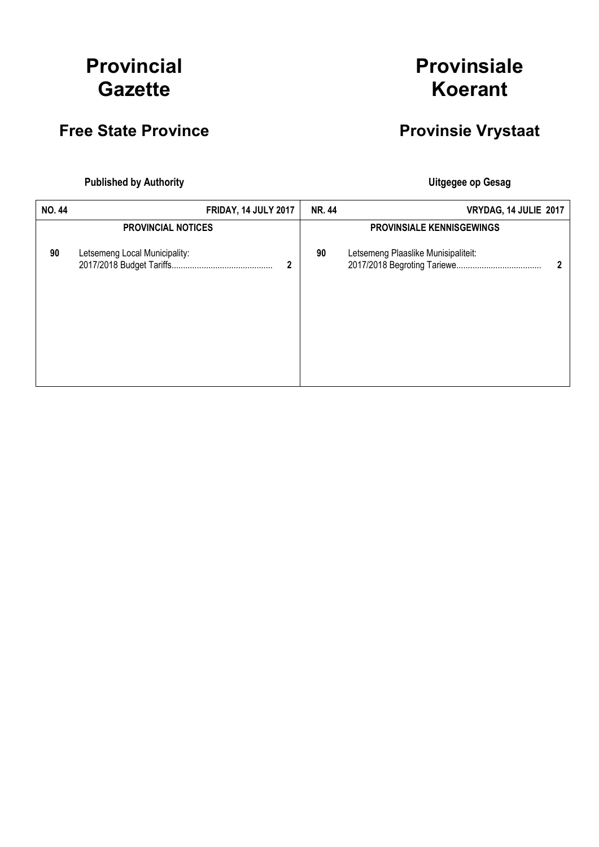# Provincial **Gazette**

### Free State Province **Provinsie Vrystaat**

# Provinsiale Koerant

Published by Authority **National Execution Control Control Control Control Control Control Control Control Control Control Control Control Control Control Control Control Control Control Control Control Control Control Con** 

| <b>NO.44</b> |                               | <b>FRIDAY, 14 JULY 2017</b> | <b>NR. 44</b> | VRYDAG, 14 JULIE 2017               |              |
|--------------|-------------------------------|-----------------------------|---------------|-------------------------------------|--------------|
|              | <b>PROVINCIAL NOTICES</b>     |                             |               | <b>PROVINSIALE KENNISGEWINGS</b>    |              |
| 90           | Letsemeng Local Municipality: | 2                           | 90            | Letsemeng Plaaslike Munisipaliteit: | $\mathbf{2}$ |